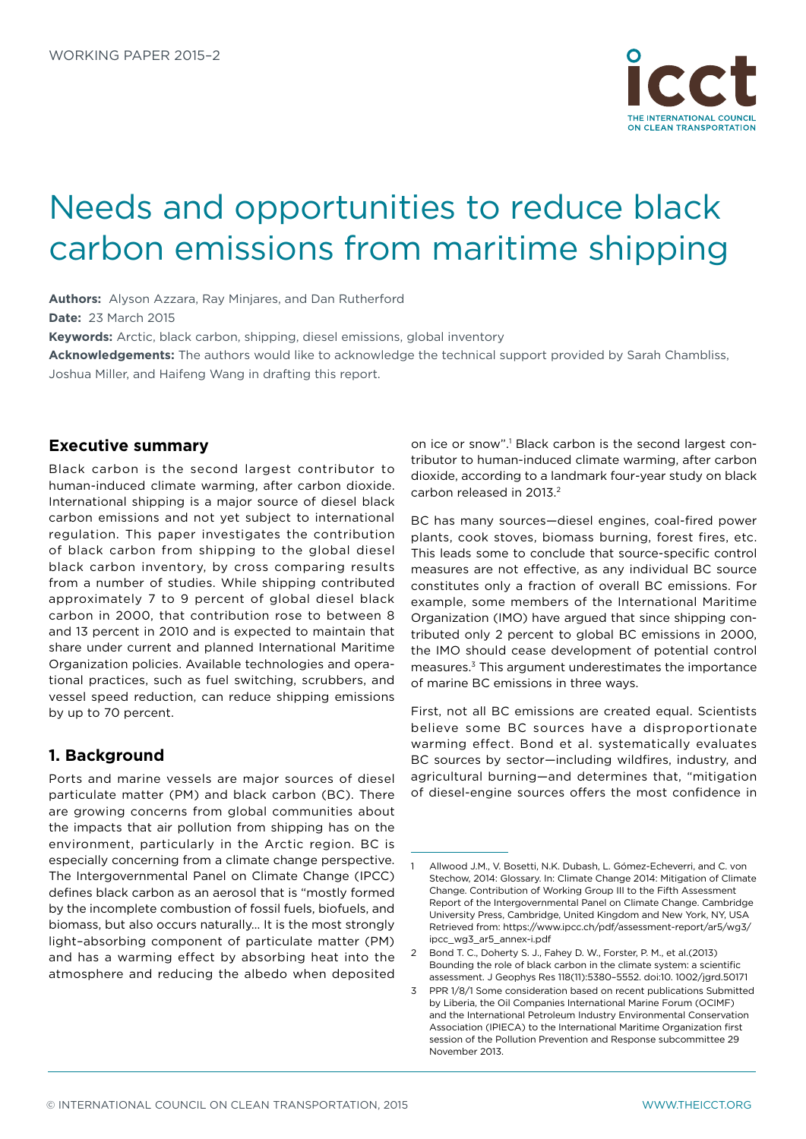

# Needs and opportunities to reduce black carbon emissions from maritime shipping

**Authors:** Alyson Azzara, Ray Minjares, and Dan Rutherford **Date:** 23 March 2015

**Keywords:** Arctic, black carbon, shipping, diesel emissions, global inventory

**Acknowledgements:** The authors would like to acknowledge the technical support provided by Sarah Chambliss, Joshua Miller, and Haifeng Wang in drafting this report.

### **Executive summary**

Black carbon is the second largest contributor to human-induced climate warming, after carbon dioxide. International shipping is a major source of diesel black carbon emissions and not yet subject to international regulation. This paper investigates the contribution of black carbon from shipping to the global diesel black carbon inventory, by cross comparing results from a number of studies. While shipping contributed approximately 7 to 9 percent of global diesel black carbon in 2000, that contribution rose to between 8 and 13 percent in 2010 and is expected to maintain that share under current and planned International Maritime Organization policies. Available technologies and operational practices, such as fuel switching, scrubbers, and vessel speed reduction, can reduce shipping emissions by up to 70 percent.

## **1. Background**

Ports and marine vessels are major sources of diesel particulate matter (PM) and black carbon (BC). There are growing concerns from global communities about the impacts that air pollution from shipping has on the environment, particularly in the Arctic region. BC is especially concerning from a climate change perspective. The Intergovernmental Panel on Climate Change (IPCC) defines black carbon as an aerosol that is "mostly formed by the incomplete combustion of fossil fuels, biofuels, and biomass, but also occurs naturally… It is the most strongly light–absorbing component of particulate matter (PM) and has a warming effect by absorbing heat into the atmosphere and reducing the albedo when deposited

on ice or snow".<sup>1</sup> Black carbon is the second largest contributor to human-induced climate warming, after carbon dioxide, according to a landmark four-year study on black carbon released in 2013.<sup>2</sup>

BC has many sources—diesel engines, coal-fired power plants, cook stoves, biomass burning, forest fires, etc. This leads some to conclude that source-specific control measures are not effective, as any individual BC source constitutes only a fraction of overall BC emissions. For example, some members of the International Maritime Organization (IMO) have argued that since shipping contributed only 2 percent to global BC emissions in 2000, the IMO should cease development of potential control measures.3 This argument underestimates the importance of marine BC emissions in three ways.

First, not all BC emissions are created equal. Scientists believe some BC sources have a disproportionate warming effect. Bond et al. systematically evaluates BC sources by sector—including wildfires, industry, and agricultural burning—and determines that, "mitigation of diesel-engine sources offers the most confidence in

<sup>1</sup> Allwood J.M., V. Bosetti, N.K. Dubash, L. Gómez-Echeverri, and C. von Stechow, 2014: Glossary. In: Climate Change 2014: Mitigation of Climate Change. Contribution of Working Group III to the Fifth Assessment Report of the Intergovernmental Panel on Climate Change. Cambridge University Press, Cambridge, United Kingdom and New York, NY, USA Retrieved from: [https://www.ipcc.ch/pdf/assessment-report/ar5/wg3/](https://www.ipcc.ch/pdf/assessment-report/ar5/wg3/ipcc_wg3_ar5_annex-i.pdf) [ipcc\\_wg3\\_ar5\\_annex-i.pdf](https://www.ipcc.ch/pdf/assessment-report/ar5/wg3/ipcc_wg3_ar5_annex-i.pdf)

<sup>2</sup> Bond T. C., Doherty S. J., Fahey D. W., Forster, P. M., et al.(2013) Bounding the role of black carbon in the climate system: a scientific assessment. J Geophys Res 118(11):5380–5552. doi:10. 1002/jgrd.50171

<sup>3</sup> PPR 1/8/1 Some consideration based on recent publications Submitted by Liberia, the Oil Companies International Marine Forum (OCIMF) and the International Petroleum Industry Environmental Conservation Association (IPIECA) to the International Maritime Organization first session of the Pollution Prevention and Response subcommittee 29 November 2013.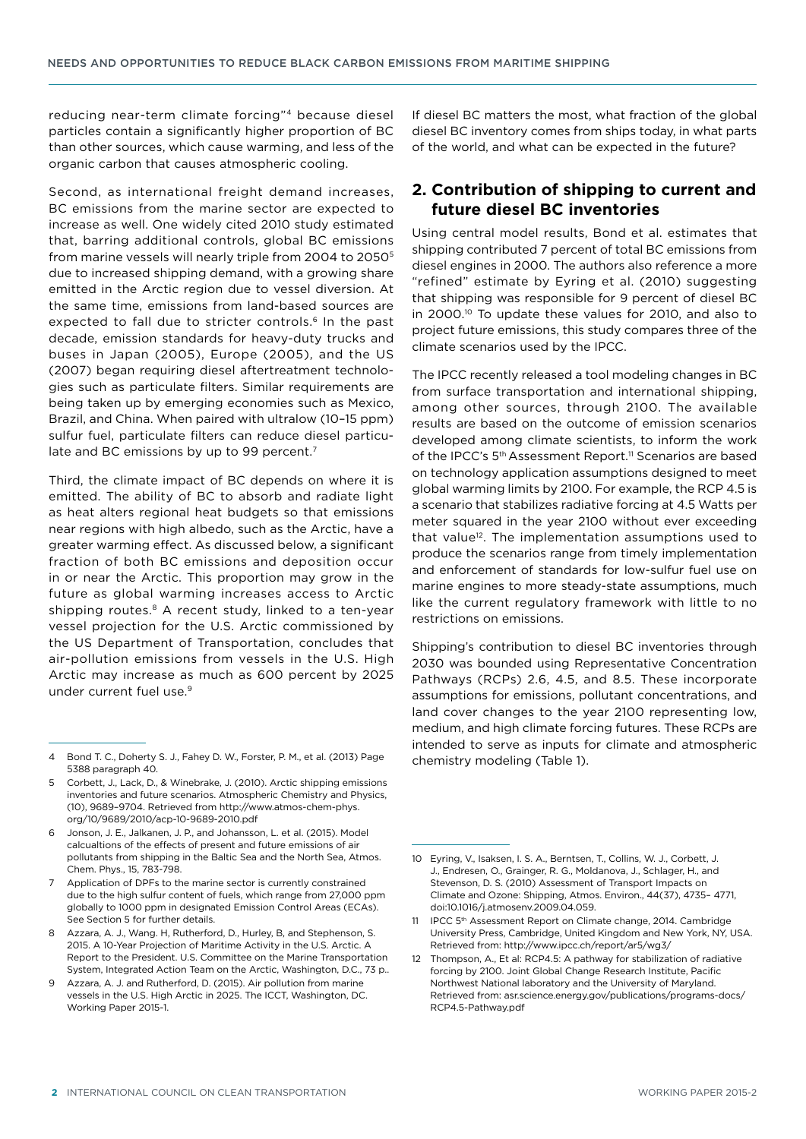reducing near-term climate forcing"4 because diesel particles contain a significantly higher proportion of BC than other sources, which cause warming, and less of the organic carbon that causes atmospheric cooling.

Second, as international freight demand increases, BC emissions from the marine sector are expected to increase as well. One widely cited 2010 study estimated that, barring additional controls, global BC emissions from marine vessels will nearly triple from 2004 to 20505 due to increased shipping demand, with a growing share emitted in the Arctic region due to vessel diversion. At the same time, emissions from land-based sources are expected to fall due to stricter controls.<sup>6</sup> In the past decade, emission standards for heavy-duty trucks and buses in Japan (2005), Europe (2005), and the US (2007) began requiring diesel aftertreatment technologies such as particulate filters. Similar requirements are being taken up by emerging economies such as Mexico, Brazil, and China. When paired with ultralow (10–15 ppm) sulfur fuel, particulate filters can reduce diesel particulate and BC emissions by up to 99 percent.<sup>7</sup>

Third, the climate impact of BC depends on where it is emitted. The ability of BC to absorb and radiate light as heat alters regional heat budgets so that emissions near regions with high albedo, such as the Arctic, have a greater warming effect. As discussed below, a significant fraction of both BC emissions and deposition occur in or near the Arctic. This proportion may grow in the future as global warming increases access to Arctic shipping routes.<sup>8</sup> A recent study, linked to a ten-year vessel projection for the U.S. Arctic commissioned by the US Department of Transportation, concludes that air-pollution emissions from vessels in the U.S. High Arctic may increase as much as 600 percent by 2025 under current fuel use.9

If diesel BC matters the most, what fraction of the global diesel BC inventory comes from ships today, in what parts of the world, and what can be expected in the future?

### **2. Contribution of shipping to current and future diesel BC inventories**

Using central model results, Bond et al. estimates that shipping contributed 7 percent of total BC emissions from diesel engines in 2000. The authors also reference a more "refined" estimate by Eyring et al. (2010) suggesting that shipping was responsible for 9 percent of diesel BC in 2000.10 To update these values for 2010, and also to project future emissions, this study compares three of the climate scenarios used by the IPCC.

The IPCC recently released a tool modeling changes in BC from surface transportation and international shipping, among other sources, through 2100. The available results are based on the outcome of emission scenarios developed among climate scientists, to inform the work of the IPCC's 5<sup>th</sup> Assessment Report.<sup>11</sup> Scenarios are based on technology application assumptions designed to meet global warming limits by 2100. For example, the RCP 4.5 is a scenario that stabilizes radiative forcing at 4.5 Watts per meter squared in the year 2100 without ever exceeding that value<sup>12</sup>. The implementation assumptions used to produce the scenarios range from timely implementation and enforcement of standards for low-sulfur fuel use on marine engines to more steady-state assumptions, much like the current regulatory framework with little to no restrictions on emissions.

Shipping's contribution to diesel BC inventories through 2030 was bounded using Representative Concentration Pathways (RCPs) 2.6, 4.5, and 8.5. These incorporate assumptions for emissions, pollutant concentrations, and land cover changes to the year 2100 representing low, medium, and high climate forcing futures. These RCPs are intended to serve as inputs for climate and atmospheric chemistry modeling (Table 1).

<sup>4</sup> Bond T. C., Doherty S. J., Fahey D. W., Forster, P. M., et al. (2013) Page 5388 paragraph 40.

<sup>5</sup> Corbett, J., Lack, D., & Winebrake, J. (2010). Arctic shipping emissions inventories and future scenarios. Atmospheric Chemistry and Physics, (10), 9689–9704. Retrieved from http://www.atmos-chem-phys. org/10/9689/2010/acp-10-9689-2010.pdf

<sup>6</sup> Jonson, J. E., Jalkanen, J. P., and Johansson, L. et al. (2015). Model calcualtions of the effects of present and future emissions of air pollutants from shipping in the Baltic Sea and the North Sea, Atmos. Chem. Phys., 15, 783-798.

<sup>7</sup> Application of DPFs to the marine sector is currently constrained due to the high sulfur content of fuels, which range from 27,000 ppm globally to 1000 ppm in designated Emission Control Areas (ECAs). See Section 5 for further details.

Azzara, A. J., Wang. H, Rutherford, D., Hurley, B, and Stephenson, S. 2015. A 10-Year Projection of Maritime Activity in the U.S. Arctic. A Report to the President. U.S. Committee on the Marine Transportation System, Integrated Action Team on the Arctic, Washington, D.C., 73 p..

Azzara, A. J. and Rutherford, D. (2015). Air pollution from marine vessels in the U.S. High Arctic in 2025. The ICCT, Washington, DC. Working Paper 2015-1.

<sup>10</sup> Eyring, V., Isaksen, I. S. A., Berntsen, T., Collins, W. J., Corbett, J. J., Endresen, O., Grainger, R. G., Moldanova, J., Schlager, H., and Stevenson, D. S. (2010) Assessment of Transport Impacts on Climate and Ozone: Shipping, Atmos. Environ., 44(37), 4735– 4771, doi:10.1016/j.atmosenv.2009.04.059.

<sup>11</sup> IPCC 5<sup>th</sup> Assessment Report on Climate change, 2014. Cambridge University Press, Cambridge, United Kingdom and New York, NY, USA. Retrieved from:<http://www.ipcc.ch/report/ar5/wg3/>

<sup>12</sup> Thompson, A., Et al: RCP4.5: A pathway for stabilization of radiative forcing by 2100. Joint Global Change Research Institute, Pacific Northwest National laboratory and the University of Maryland. Retrieved from: asr.science.energy.gov/publications/programs-docs/ RCP4.5-Pathway.pdf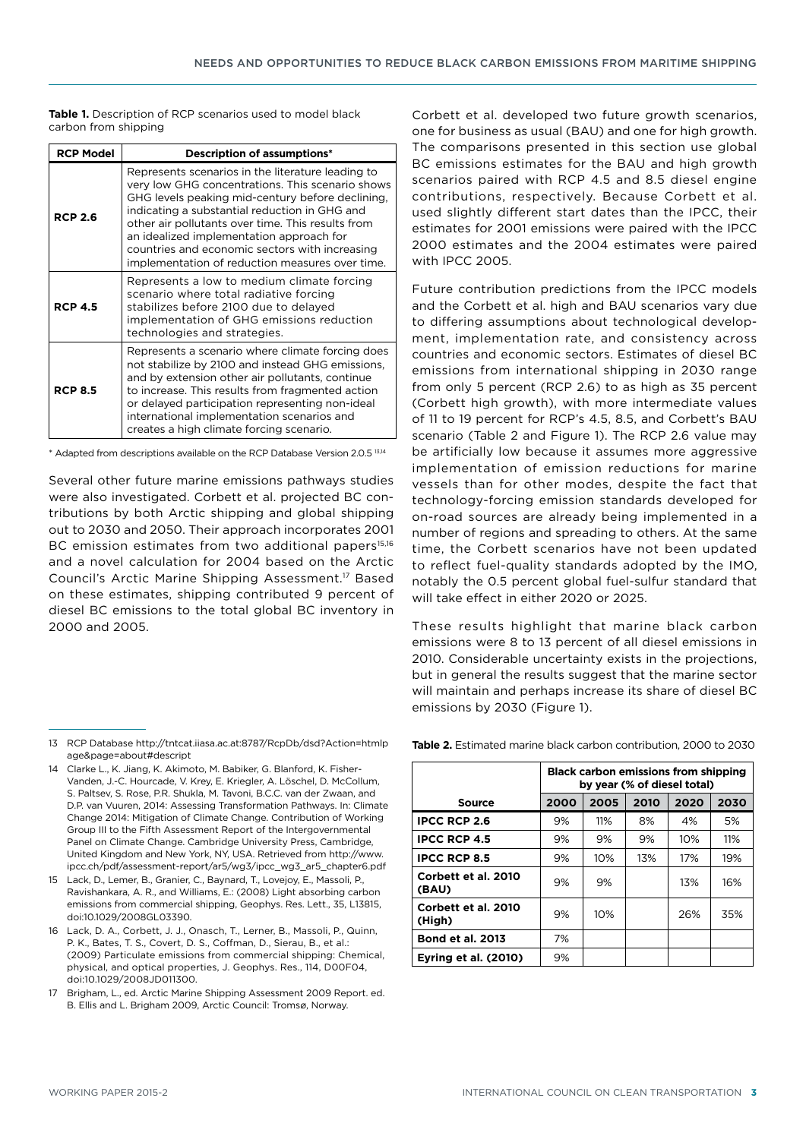**Table 1.** Description of RCP scenarios used to model black carbon from shipping

| <b>RCP Model</b> | <b>Description of assumptions*</b>                                                                                                                                                                                                                                                                                                                                                                               |  |  |
|------------------|------------------------------------------------------------------------------------------------------------------------------------------------------------------------------------------------------------------------------------------------------------------------------------------------------------------------------------------------------------------------------------------------------------------|--|--|
| <b>RCP 2.6</b>   | Represents scenarios in the literature leading to<br>very low GHG concentrations. This scenario shows<br>GHG levels peaking mid-century before declining,<br>indicating a substantial reduction in GHG and<br>other air pollutants over time. This results from<br>an idealized implementation approach for<br>countries and economic sectors with increasing<br>implementation of reduction measures over time. |  |  |
| <b>RCP 4.5</b>   | Represents a low to medium climate forcing<br>scenario where total radiative forcing<br>stabilizes before 2100 due to delayed<br>implementation of GHG emissions reduction<br>technologies and strategies.                                                                                                                                                                                                       |  |  |
| <b>RCP 8.5</b>   | Represents a scenario where climate forcing does<br>not stabilize by 2100 and instead GHG emissions,<br>and by extension other air pollutants, continue<br>to increase. This results from fragmented action<br>or delayed participation representing non-ideal<br>international implementation scenarios and<br>creates a high climate forcing scenario.                                                         |  |  |

\* Adapted from descriptions available on the RCP Database Version 2.0.5 13,14

Several other future marine emissions pathways studies were also investigated. Corbett et al. projected BC contributions by both Arctic shipping and global shipping out to 2030 and 2050. Their approach incorporates 2001 BC emission estimates from two additional papers<sup>15,16</sup> and a novel calculation for 2004 based on the Arctic Council's Arctic Marine Shipping Assessment.17 Based on these estimates, shipping contributed 9 percent of diesel BC emissions to the total global BC inventory in 2000 and 2005.

Corbett et al. developed two future growth scenarios, one for business as usual (BAU) and one for high growth. The comparisons presented in this section use global BC emissions estimates for the BAU and high growth scenarios paired with RCP 4.5 and 8.5 diesel engine contributions, respectively. Because Corbett et al. used slightly different start dates than the IPCC, their estimates for 2001 emissions were paired with the IPCC 2000 estimates and the 2004 estimates were paired with IPCC 2005.

Future contribution predictions from the IPCC models and the Corbett et al. high and BAU scenarios vary due to differing assumptions about technological development, implementation rate, and consistency across countries and economic sectors. Estimates of diesel BC emissions from international shipping in 2030 range from only 5 percent (RCP 2.6) to as high as 35 percent (Corbett high growth), with more intermediate values of 11 to 19 percent for RCP's 4.5, 8.5, and Corbett's BAU scenario (Table 2 and Figure 1). The RCP 2.6 value may be artificially low because it assumes more aggressive implementation of emission reductions for marine vessels than for other modes, despite the fact that technology-forcing emission standards developed for on-road sources are already being implemented in a number of regions and spreading to others. At the same time, the Corbett scenarios have not been updated to reflect fuel-quality standards adopted by the IMO, notably the 0.5 percent global fuel-sulfur standard that will take effect in either 2020 or 2025.

These results highlight that marine black carbon emissions were 8 to 13 percent of all diesel emissions in 2010. Considerable uncertainty exists in the projections, but in general the results suggest that the marine sector will maintain and perhaps increase its share of diesel BC emissions by 2030 (Figure 1).

**Table 2.** Estimated marine black carbon contribution, 2000 to 2030

|                               | <b>Black carbon emissions from shipping</b><br>by year (% of diesel total) |      |      |      |      |
|-------------------------------|----------------------------------------------------------------------------|------|------|------|------|
| Source                        | 2000                                                                       | 2005 | 2010 | 2020 | 2030 |
| <b>IPCC RCP 2.6</b>           | 9%                                                                         | 11%  | 8%   | 4%   | 5%   |
| <b>IPCC RCP 4.5</b>           | 9%                                                                         | 9%   | 9%   | 10%  | 11%  |
| <b>IPCC RCP 8.5</b>           | 9%                                                                         | 10%  | 13%  | 17%  | 19%  |
| Corbett et al. 2010<br>(BAU)  | 9%                                                                         | 9%   |      | 13%  | 16%  |
| Corbett et al. 2010<br>(High) | 9%                                                                         | 10%  |      | 26%  | 35%  |
| <b>Bond et al. 2013</b>       | 7%                                                                         |      |      |      |      |
| <b>Evring et al. (2010)</b>   | 9%                                                                         |      |      |      |      |

<sup>13</sup> RCP Database [http://tntcat.iiasa.ac.at:8787/RcpDb/dsd?Action=htmlp](http://tntcat.iiasa.ac.at:8787/RcpDb/dsd?Action=htmlpage&page=about#descript) [age&page=about#descript](http://tntcat.iiasa.ac.at:8787/RcpDb/dsd?Action=htmlpage&page=about#descript)

<sup>14</sup> Clarke L., K. Jiang, K. Akimoto, M. Babiker, G. Blanford, K. Fisher-Vanden, J.-C. Hourcade, V. Krey, E. Kriegler, A. Löschel, D. McCollum, S. Paltsev, S. Rose, P.R. Shukla, M. Tavoni, B.C.C. van der Zwaan, and D.P. van Vuuren, 2014: Assessing Transformation Pathways. In: Climate Change 2014: Mitigation of Climate Change. Contribution of Working Group III to the Fifth Assessment Report of the Intergovernmental Panel on Climate Change. Cambridge University Press, Cambridge, United Kingdom and New York, NY, USA. Retrieved from http://www. ipcc.ch/pdf/assessment-report/ar5/wg3/ipcc\_wg3\_ar5\_chapter6.pdf

<sup>15</sup> Lack, D., Lemer, B., Granier, C., Baynard, T., Lovejoy, E., Massoli, P., Ravishankara, A. R., and Williams, E.: (2008) Light absorbing carbon emissions from commercial shipping, Geophys. Res. Lett., 35, L13815, doi:10.1029/2008GL03390.

<sup>16</sup> Lack, D. A., Corbett, J. J., Onasch, T., Lerner, B., Massoli, P., Quinn, P. K., Bates, T. S., Covert, D. S., Coffman, D., Sierau, B., et al.: (2009) Particulate emissions from commercial shipping: Chemical, physical, and optical properties, J. Geophys. Res., 114, D00F04, doi:10.1029/2008JD011300.

<sup>17</sup> Brigham, L., ed. Arctic Marine Shipping Assessment 2009 Report. ed. B. Ellis and L. Brigham 2009, Arctic Council: Tromsø, Norway.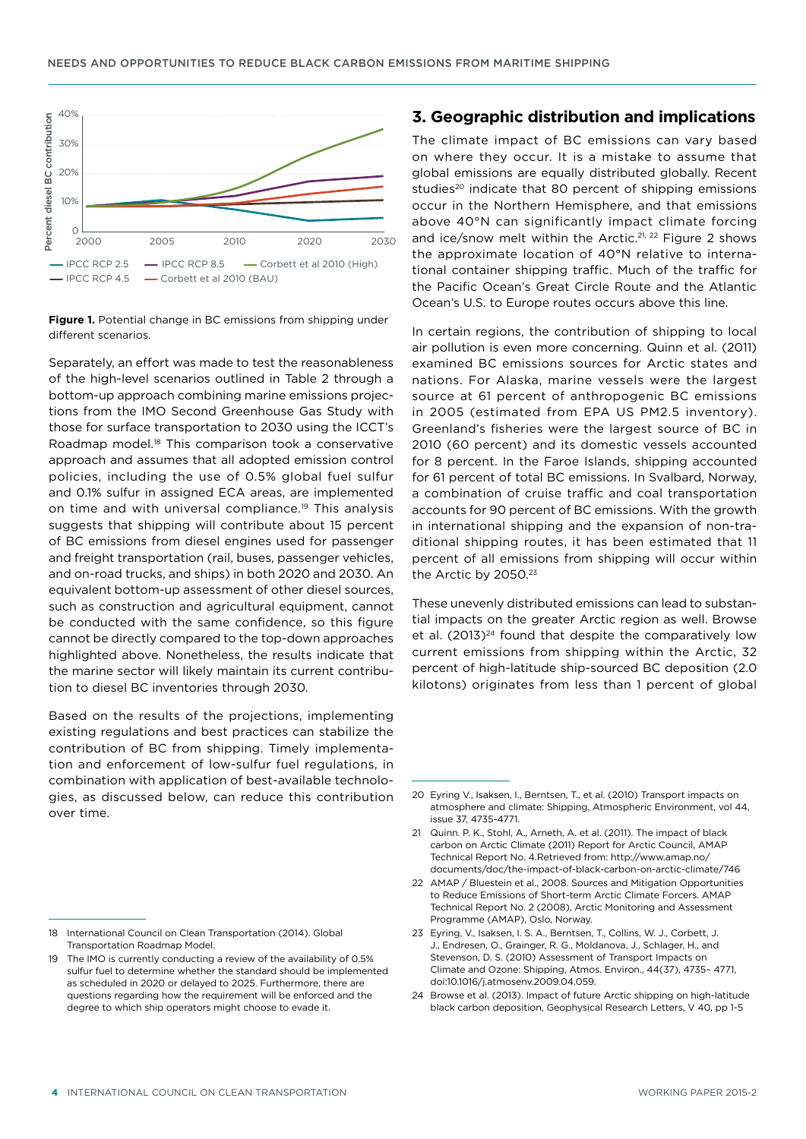

**Figure 1.** Potential change in BC emissions from shipping under different scenarios.

Separately, an effort was made to test the reasonableness of the high-level scenarios outlined in Table 2 through a bottom-up approach combining marine emissions projections from the IMO Second Greenhouse Gas Study with those for surface transportation to 2030 using the ICCT's Roadmap model.18 This comparison took a conservative approach and assumes that all adopted emission control policies, including the use of 0.5% global fuel sulfur and 0.1% sulfur in assigned ECA areas, are implemented on time and with universal compliance.<sup>19</sup> This analysis suggests that shipping will contribute about 15 percent of BC emissions from diesel engines used for passenger and freight transportation (rail, buses, passenger vehicles, and on-road trucks, and ships) in both 2020 and 2030. An equivalent bottom-up assessment of other diesel sources, such as construction and agricultural equipment, cannot be conducted with the same confidence, so this figure cannot be directly compared to the top-down approaches highlighted above. Nonetheless, the results indicate that the marine sector will likely maintain its current contribution to diesel BC inventories through 2030.

Based on the results of the projections, implementing existing regulations and best practices can stabilize the contribution of BC from shipping. Timely implementation and enforcement of low-sulfur fuel regulations, in combination with application of best-available technologies, as discussed below, can reduce this contribution over time.

#### **3. Geographic distribution and implications**

The climate impact of BC emissions can vary based on where they occur. It is a mistake to assume that global emissions are equally distributed globally. Recent studies<sup>20</sup> indicate that 80 percent of shipping emissions occur in the Northern Hemisphere, and that emissions above 40°N can significantly impact climate forcing and ice/snow melt within the Arctic.<sup>21, 22</sup> Figure 2 shows the approximate location of 40°N relative to international container shipping traffic. Much of the traffic for the Pacific Ocean's Great Circle Route and the Atlantic Ocean's U.S. to Europe routes occurs above this line.

In certain regions, the contribution of shipping to local air pollution is even more concerning. Quinn et al. (2011) examined BC emissions sources for Arctic states and nations. For Alaska, marine vessels were the largest source at 61 percent of anthropogenic BC emissions in 2005 (estimated from EPA US PM2.5 inventory). Greenland's fisheries were the largest source of BC in 2010 (60 percent) and its domestic vessels accounted for 8 percent. In the Faroe Islands, shipping accounted for 61 percent of total BC emissions. In Svalbard, Norway, a combination of cruise traffic and coal transportation accounts for 90 percent of BC emissions. With the growth in international shipping and the expansion of non-traditional shipping routes, it has been estimated that 11 percent of all emissions from shipping will occur within the Arctic by 2050.<sup>23</sup>

These unevenly distributed emissions can lead to substantial impacts on the greater Arctic region as well. Browse et al.  $(2013)^{24}$  found that despite the comparatively low current emissions from shipping within the Arctic, 32 percent of high-latitude ship-sourced BC deposition (2.0 kilotons) originates from less than 1 percent of global

<sup>18</sup> International Council on Clean Transportation (2014). Global Transportation Roadmap Model.

<sup>19</sup> The IMO is currently conducting a review of the availability of 0.5% sulfur fuel to determine whether the standard should be implemented as scheduled in 2020 or delayed to 2025. Furthermore, there are questions regarding how the requirement will be enforced and the degree to which ship operators might choose to evade it.

<sup>20</sup> Eyring V., Isaksen, I., Berntsen, T., et al. (2010) Transport impacts on atmosphere and climate: Shipping, Atmospheric Environment, vol 44, issue 37, 4735-4771.

<sup>21</sup> Quinn. P. K., Stohl, A., Arneth, A. et al. (2011). The impact of black carbon on Arctic Climate (2011) Report for Arctic Council, AMAP Technical Report No. 4.Retrieved from: [http://www.amap.no/](http://www.amap.no/documents/doc/the-impact-of-black-carbon-on-arctic-climate/746) [documents/doc/the-impact-of-black-carbon-on-arctic-climate/746](http://www.amap.no/documents/doc/the-impact-of-black-carbon-on-arctic-climate/746)

<sup>22</sup> AMAP / Bluestein et al., 2008. Sources and Mitigation Opportunities to Reduce Emissions of Short-term Arctic Climate Forcers. AMAP Technical Report No. 2 (2008), Arctic Monitoring and Assessment Programme (AMAP), Oslo, Norway.

<sup>23</sup> Eyring, V., Isaksen, I. S. A., Berntsen, T., Collins, W. J., Corbett, J. J., Endresen, O., Grainger, R. G., Moldanova, J., Schlager, H., and Stevenson, D. S. (2010) Assessment of Transport Impacts on Climate and Ozone: Shipping, Atmos. Environ., 44(37), 4735– 4771, doi:10.1016/j.atmosenv.2009.04.059.

<sup>24</sup> Browse et al. (2013). Impact of future Arctic shipping on high-latitude black carbon deposition, Geophysical Research Letters, V 40, pp 1-5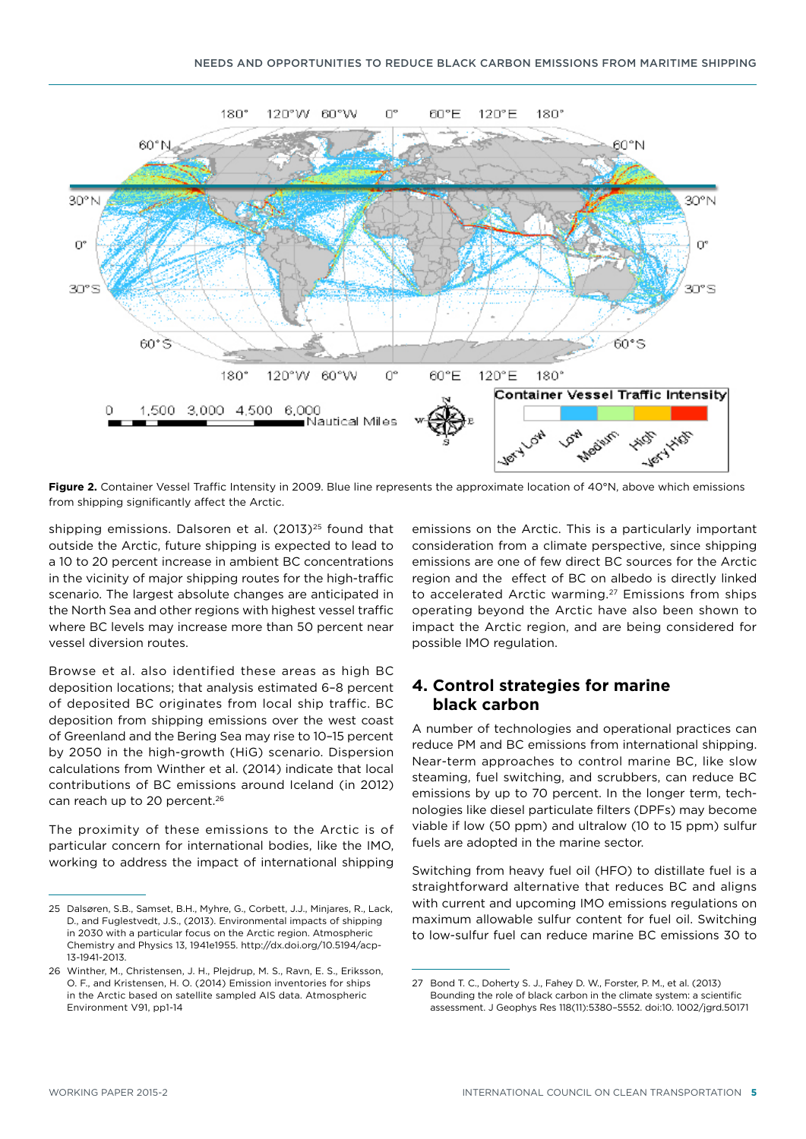

**Figure 2.** Container Vessel Traffic Intensity in 2009. Blue line represents the approximate location of 40°N, above which emissions from shipping significantly affect the Arctic.

shipping emissions. Dalsoren et al.  $(2013)^{25}$  found that outside the Arctic, future shipping is expected to lead to a 10 to 20 percent increase in ambient BC concentrations in the vicinity of major shipping routes for the high-traffic scenario. The largest absolute changes are anticipated in the North Sea and other regions with highest vessel traffic where BC levels may increase more than 50 percent near vessel diversion routes.

Browse et al. also identified these areas as high BC deposition locations; that analysis estimated 6–8 percent of deposited BC originates from local ship traffic. BC deposition from shipping emissions over the west coast of Greenland and the Bering Sea may rise to 10–15 percent by 2050 in the high-growth (HiG) scenario. Dispersion calculations from Winther et al. (2014) indicate that local contributions of BC emissions around Iceland (in 2012) can reach up to 20 percent.<sup>26</sup>

The proximity of these emissions to the Arctic is of particular concern for international bodies, like the IMO, working to address the impact of international shipping

emissions on the Arctic. This is a particularly important consideration from a climate perspective, since shipping emissions are one of few direct BC sources for the Arctic region and the effect of BC on albedo is directly linked to accelerated Arctic warming.<sup>27</sup> Emissions from ships operating beyond the Arctic have also been shown to impact the Arctic region, and are being considered for possible IMO regulation.

## **4. Control strategies for marine black carbon**

A number of technologies and operational practices can reduce PM and BC emissions from international shipping. Near-term approaches to control marine BC, like slow steaming, fuel switching, and scrubbers, can reduce BC emissions by up to 70 percent. In the longer term, technologies like diesel particulate filters (DPFs) may become viable if low (50 ppm) and ultralow (10 to 15 ppm) sulfur fuels are adopted in the marine sector.

Switching from heavy fuel oil (HFO) to distillate fuel is a straightforward alternative that reduces BC and aligns with current and upcoming IMO emissions regulations on maximum allowable sulfur content for fuel oil. Switching to low-sulfur fuel can reduce marine BC emissions 30 to

<sup>25</sup> Dalsøren, S.B., Samset, B.H., Myhre, G., Corbett, J.J., Minjares, R., Lack, D., and Fuglestvedt, J.S., (2013). Environmental impacts of shipping in 2030 with a particular focus on the Arctic region. Atmospheric Chemistry and Physics 13, 1941e1955. [http://dx.doi.org/10.5194/acp-](http://dx.doi.org/10.5194/acp-13-1941-2013)[13-1941-2013.](http://dx.doi.org/10.5194/acp-13-1941-2013)

<sup>26</sup> Winther, M., Christensen, J. H., Plejdrup, M. S., Ravn, E. S., Eriksson, O. F., and Kristensen, H. O. (2014) Emission inventories for ships in the Arctic based on satellite sampled AIS data. Atmospheric Environment V91, pp1-14

<sup>27</sup> Bond T. C., Doherty S. J., Fahey D. W., Forster, P. M., et al. (2013) Bounding the role of black carbon in the climate system: a scientific assessment. J Geophys Res 118(11):5380–5552. doi:10. 1002/jgrd.50171